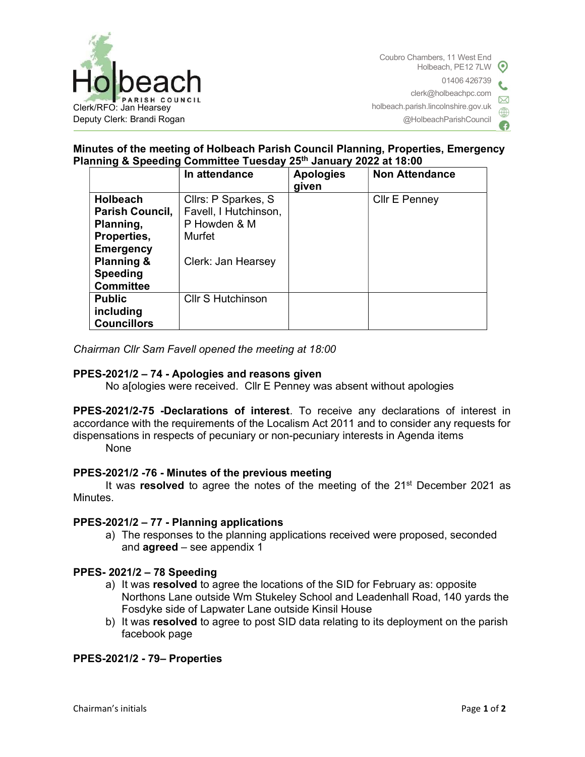

# Minutes of the meeting of Holbeach Parish Council Planning, Properties, Emergency Planning & Speeding Committee Tuesday 25th January 2022 at 18:00

|                                                                                  | In attendance            | <b>Apologies</b><br>given | <b>Non Attendance</b> |
|----------------------------------------------------------------------------------|--------------------------|---------------------------|-----------------------|
| <b>Holbeach</b>                                                                  | Cllrs: P Sparkes, S      |                           | Cllr E Penney         |
| Parish Council,                                                                  | Favell, I Hutchinson,    |                           |                       |
| Planning,                                                                        | P Howden & M             |                           |                       |
| Properties,                                                                      | Murfet                   |                           |                       |
| <b>Emergency</b><br><b>Planning &amp;</b><br><b>Speeding</b><br><b>Committee</b> | Clerk: Jan Hearsey       |                           |                       |
| <b>Public</b>                                                                    | <b>CIIr S Hutchinson</b> |                           |                       |
| including                                                                        |                          |                           |                       |
| <b>Councillors</b>                                                               |                          |                           |                       |

Chairman Cllr Sam Favell opened the meeting at 18:00

## PPES-2021/2 – 74 - Apologies and reasons given

No a[ologies were received. Cllr E Penney was absent without apologies

PPES-2021/2-75 -Declarations of interest. To receive any declarations of interest in accordance with the requirements of the Localism Act 2011 and to consider any requests for dispensations in respects of pecuniary or non-pecuniary interests in Agenda items None

#### PPES-2021/2 -76 - Minutes of the previous meeting

It was resolved to agree the notes of the meeting of the  $21<sup>st</sup>$  December 2021 as Minutes.

#### PPES-2021/2 – 77 - Planning applications

a) The responses to the planning applications received were proposed, seconded and agreed – see appendix 1

#### PPES- 2021/2 – 78 Speeding

- a) It was resolved to agree the locations of the SID for February as: opposite Northons Lane outside Wm Stukeley School and Leadenhall Road, 140 yards the Fosdyke side of Lapwater Lane outside Kinsil House
- b) It was resolved to agree to post SID data relating to its deployment on the parish facebook page

## PPES-2021/2 - 79– Properties